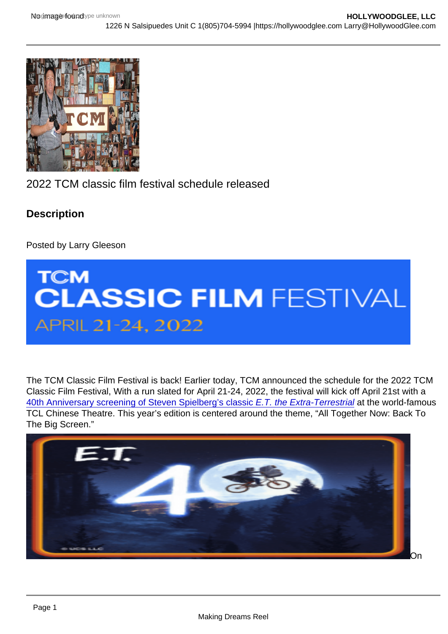## 2022 TCM classic film festival schedule released

**Description** 

Posted by Larry Gleeson

The TCM Classic Film Festival is back! Earlier today, TCM announced the schedule for the 2022 TCM Classic Film Festival, With a run slated for April 21-24, 2022, the festival will kick off April 21st with a [40th Anniversary screening of Steven Spielberg's classic E.T. the Extra-Terrestrial](https://hollywoodglee.com/2022/02/02/tcm-news-tcm-classic-film-festival-reveals-fortieth-anniversary-screening-of-blockbuster-hit-e-t-the-extra-terrestrial/) at the world-famous TCL Chinese Theatre. This year's edition is centered around the theme, "All Together Now: Back To The Big Screen."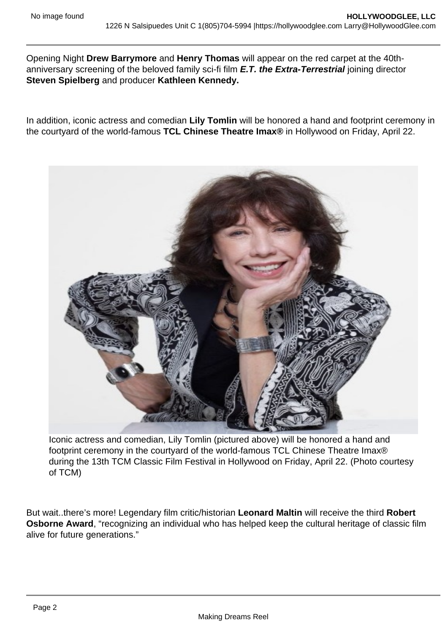Opening Night Drew Barrymore and Henry Thomas will appear on the red carpet at the 40thanniversary screening of the beloved family sci-fi film E.T. the Extra-Terrestrial joining director Steven Spielberg and producer Kathleen Kennedy.

In addition, iconic actress and comedian Lily Tomlin will be honored a hand and footprint ceremony in the courtyard of the world-famous TCL Chinese Theatre Imax<sup>®</sup> in Hollywood on Friday, April 22.

Iconic actress and comedian, Lily Tomlin (pictured above) will be honored a hand and footprint ceremony in the courtyard of the world-famous TCL Chinese Theatre Imax® during the 13th TCM Classic Film Festival in Hollywood on Friday, April 22. (Photo courtesy of TCM)

But wait..there's more! Legendary film critic/historian Leonard Maltin will receive the third Robert Osborne Award , "recognizing an individual who has helped keep the cultural heritage of classic film alive for future generations."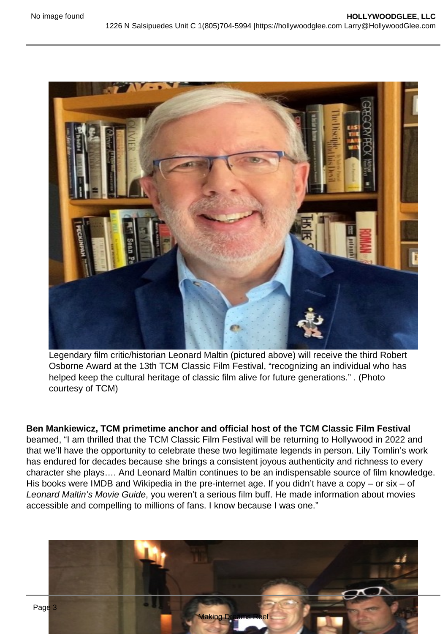Legendary film critic/historian Leonard Maltin (pictured above) will receive the third Robert Osborne Award at the 13th TCM Classic Film Festival, "recognizing an individual who has helped keep the cultural heritage of classic film alive for future generations." . (Photo courtesy of TCM)

Ben Mankiewicz, TCM primetime anchor and official host of the TCM Classic Film Festival beamed, "I am thrilled that the TCM Classic Film Festival will be returning to Hollywood in 2022 and that we'll have the opportunity to celebrate these two legitimate legends in person. Lily Tomlin's work has endured for decades because she brings a consistent joyous authenticity and richness to every character she plays…. And Leonard Maltin continues to be an indispensable source of film knowledge. His books were IMDB and Wikipedia in the pre-internet age. If you didn't have a copy – or six – of Leonard Maltin's Movie Guide, you weren't a serious film buff. He made information about movies accessible and compelling to millions of fans. I know because I was one."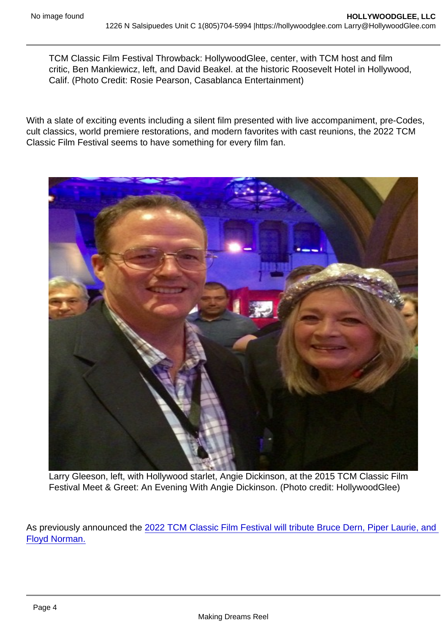TCM Classic Film Festival Throwback: HollywoodGlee, center, with TCM host and film critic, Ben Mankiewicz, left, and David Beakel. at the historic Roosevelt Hotel in Hollywood, Calif. (Photo Credit: Rosie Pearson, Casablanca Entertainment)

With a slate of exciting events including a silent film presented with live accompaniment, pre-Codes, cult classics, world premiere restorations, and modern favorites with cast reunions, the 2022 TCM Classic Film Festival seems to have something for every film fan.

Larry Gleeson, left, with Hollywood starlet, Angie Dickinson, at the 2015 TCM Classic Film Festival Meet & Greet: An Evening With Angie Dickinson. (Photo credit: HollywoodGlee)

As previously announced the [2022 TCM Classic Film Festival will tribute Bruce Dern, Piper Laurie, and](https://hollywoodglee.com/2022/03/09/tcm-announces-2022-classic-film-festival-tributes-bruce-dern-piper-laurie-and-floyd-norman/)  [Floyd Norman.](https://hollywoodglee.com/2022/03/09/tcm-announces-2022-classic-film-festival-tributes-bruce-dern-piper-laurie-and-floyd-norman/)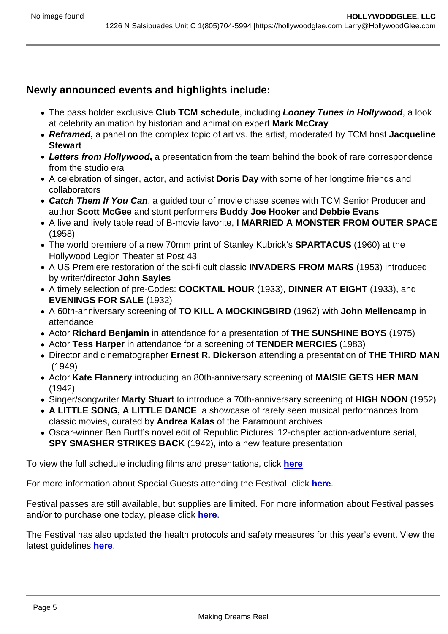Newly announced events and highlights include:

- The pass holder exclusive Club TCM schedule , including Looney Tunes in Hollywood , a look at celebrity animation by historian and animation expert Mark McCray
- Reframed , a panel on the complex topic of art vs. the artist, moderated by TCM host Jacqueline **Stewart**
- Letters from Hollywood , a presentation from the team behind the book of rare correspondence from the studio era
- A celebration of singer, actor, and activist Doris Day with some of her longtime friends and collaborators
- Catch Them If You Can , a guided tour of movie chase scenes with TCM Senior Producer and author Scott McGee and stunt performers Buddy Joe Hooker and Debbie Evans
- A live and lively table read of B-movie favorite, I MARRIED A MONSTER FROM OUTER SPACE (1958)
- The world premiere of a new 70mm print of Stanley Kubrick's SPARTACUS (1960) at the Hollywood Legion Theater at Post 43
- A US Premiere restoration of the sci-fi cult classic INVADERS FROM MARS (1953) introduced by writer/director John Sayles
- A timely selection of pre-Codes: COCKTAIL HOUR (1933), DINNER AT EIGHT (1933), and EVENINGS FOR SALE (1932)
- A 60th-anniversary screening of TO KILL A MOCKINGBIRD (1962) with John Mellencamp in attendance
- Actor Richard Benjamin in attendance for a presentation of THE SUNSHINE BOYS (1975)
- Actor Tess Harper in attendance for a screening of TENDER MERCIES (1983)
- Director and cinematographer Ernest R. Dickerson attending a presentation of THE THIRD MAN (1949)
- Actor Kate Flannery introducing an 80th-anniversary screening of MAISIE GETS HER MAN (1942)
- Singer/songwriter Marty Stuart to introduce a 70th-anniversary screening of HIGH NOON (1952)
- A LITTLE SONG, A LITTLE DANCE , a showcase of rarely seen musical performances from classic movies, curated by Andrea Kalas of the Paramount archives
- Oscar-winner Ben Burtt's novel edit of Republic Pictures' 12-chapter action-adventure serial, SPY SMASHER STRIKES BACK (1942), into a new feature presentation

To view the full schedule including films and presentations, click [here](https://ablink.updates.tcm.com/ls/click?upn=zTKkrEfRCyJTjULD131jcQOl7qGE8pWxEFzlsvljnhfkFk9LKqRpkX3yJO-2FCyZjLhPO6fBaBAgKTD6wj6-2FaY6-2FfnGb-2FCFPBJjghOzlIqxd4-3Dgzcs_rSYIg1fouQWMEFcAes1Vbr7p6mfw28Zl-2B4LhgVN4nXMyo-2FtD5UL-2FGWfoopk27aeqhAuLMxBQlkaZekeuFhxgbJpS-2Fo7uDH3REjUTo8aFTB7kEoMdSq9uVEzj7C3YQ3OxFREAK0LLUpndQohVwkKAxW-2FtWLEkUeGh-2FOcONWGmtsLf8UnmVmhZMyJL1YXCtuy0XF70t1Qt9QHDMnuMOg1raG9po0RKRU-2BHU8FM8maRsruQq2zpMUtXUUISE5ICHftJfz-2FbUyX489SjAxmfbBcsLZoOFvx4to-2BfaaqY5TWrtc91hGyOtKWwAgd35Ycpv-2F4pLqc2yKjvi-2FZyb5HUrKgPuRRser3JjPzWS0iuerOuqxBBdj1TVk79q2A1QrIv30cr-2B-2Bs59Ck4MAhZr7GLwqmJOCe05vdCg9fTtoFpkDKiKRjltexQwIDAPE5VBqA-2B6LEgDR0-2FWoiCk-2BY46H4SI-2Bsh-2Bga8fKEft4Q8jhrDh1cVRTKJIQUOFxzCyDj-2FLwWAfafDgPtJrGSnyc2D75yMgUzEFshbrHQhK9hCFU52bs-2Bf-2FjEy5gi-2Fe3-2BZ9a8xfIdb8bBVvqDITAGr2I8roIK-2FtUo8EHw27Cq1o-2BbN8g4fec1SXxPbg5aJ53j29ebj2sounAFXoctKW4QuphJKsAIsgSiOKA-3D-3D).

For more information about Special Guests attending the Festival, click [here.](https://ablink.updates.tcm.com/ls/click?upn=zTKkrEfRCyJTjULD131jcQOl7qGE8pWxEFzlsvljnhe9rcN2Owl-2FyP6RX-2FLN-2BiR7YnWYN4UzlVzRXeZVFv7sjw-3D-3DEfdl_rSYIg1fouQWMEFcAes1Vbr7p6mfw28Zl-2B4LhgVN4nXMyo-2FtD5UL-2FGWfoopk27aeqhAuLMxBQlkaZekeuFhxgbJpS-2Fo7uDH3REjUTo8aFTB7kEoMdSq9uVEzj7C3YQ3OxFREAK0LLUpndQohVwkKAxW-2FtWLEkUeGh-2FOcONWGmtsLf8UnmVmhZMyJL1YXCtuy0XF70t1Qt9QHDMnuMOg1raG9po0RKRU-2BHU8FM8maRsruQq2zpMUtXUUISE5ICHftJfz-2FbUyX489SjAxmfbBcsLZoOFvx4to-2BfaaqY5TWrtc91hGyOtKWwAgd35Ycpv-2F4pLqc2yKjvi-2FZyb5HUrKgPuRRser3JjPzWS0iuerOuqxBBdj1TVk79q2A1QrIv30cr-2B-2Bs59Ck4MAhZr7GLwqmJOCe05vdCg9fTtoFpkDKiKRjltexQwIDAPE5VBqA-2B6LEgDR0-2FWoiCk-2BY46H4SI-2Bsh-2Bga8fKEft4Q8jhrDh1cVRTKJIQUOFxzCyDj-2FLwWAfafD-2BalVu8YJ7uHuVeslkkxWAc-2FfnzPqjfLSeJqFeERtiGluONsPqGVscgVTjI2w-2Ft9IhcYott2jEzBVSZScJVvRR-2FDosFN41Lk9jW5XScOqK2s5QZrh9aaYljZkPy0n49CzZV1D4eY-2F-2FzXp-2BXBYpzRprQ-3D-3D)

Festival passes are still available, but supplies are limited. For more information about Festival passes and/or to purchase one today, please click [here](https://ablink.updates.tcm.com/ls/click?upn=zTKkrEfRCyJTjULD131jcQOl7qGE8pWxEFzlsvljnhf16Wtnk6pv3UDosrsj-2BCRyPHrO_rSYIg1fouQWMEFcAes1Vbr7p6mfw28Zl-2B4LhgVN4nXMyo-2FtD5UL-2FGWfoopk27aeqhAuLMxBQlkaZekeuFhxgbJpS-2Fo7uDH3REjUTo8aFTB7kEoMdSq9uVEzj7C3YQ3OxFREAK0LLUpndQohVwkKAxW-2FtWLEkUeGh-2FOcONWGmtsLf8UnmVmhZMyJL1YXCtuy0XF70t1Qt9QHDMnuMOg1raG9po0RKRU-2BHU8FM8maRsruQq2zpMUtXUUISE5ICHftJfz-2FbUyX489SjAxmfbBcsLZoOFvx4to-2BfaaqY5TWrtc91hGyOtKWwAgd35Ycpv-2F4pLqc2yKjvi-2FZyb5HUrKgPuRRser3JjPzWS0iuerOuqxBBdj1TVk79q2A1QrIv30cr-2B-2Bs59Ck4MAhZr7GLwqmJOCe05vdCg9fTtoFpkDKiKRjltexQwIDAPE5VBqA-2B6LEgDR0-2FWoiCk-2BY46H4SI-2Bsh-2Bga8fKEft4Q8jhrDh1cVRTKJIQUOFxzCyDj-2FLwWAfafDLkkUHGiWqY-2BZvTk3LXx8a6ZOoOTSexbe7cdu4k7uON4QFMaF9bFjSAGsk89amAd4VwA2Js5Vd2H-2FvhAhjACA9ZluCLBs-2FQdKWDRd1B22zde3qocXBdcvBrdkJ2MdPNHyGnYXFQ38GuLUoOqjHfAjYg-3D-3D).

The Festival has also updated the health protocols and safety measures for this year's event. View the latest guidelines [here.](https://ablink.updates.tcm.com/ls/click?upn=NeedwliYOojRBfvGpvQQwXizImqHfoaWeGy0aqWfyfkXxl4zOFYKeqZVfa0fcyrM-2FuCsZT6kH-2B4a3kvWsfJ5sQ-3D-3DNSlK_rSYIg1fouQWMEFcAes1Vbr7p6mfw28Zl-2B4LhgVN4nXMyo-2FtD5UL-2FGWfoopk27aeqhAuLMxBQlkaZekeuFhxgbJpS-2Fo7uDH3REjUTo8aFTB7kEoMdSq9uVEzj7C3YQ3OxFREAK0LLUpndQohVwkKAxW-2FtWLEkUeGh-2FOcONWGmtsLf8UnmVmhZMyJL1YXCtuy0XF70t1Qt9QHDMnuMOg1raG9po0RKRU-2BHU8FM8maRsruQq2zpMUtXUUISE5ICHftJfz-2FbUyX489SjAxmfbBcsLZoOFvx4to-2BfaaqY5TWrtc91hGyOtKWwAgd35Ycpv-2F4pLqc2yKjvi-2FZyb5HUrKgPuRRser3JjPzWS0iuerOuqxBBdj1TVk79q2A1QrIv30cr-2B-2Bs59Ck4MAhZr7GLwqmJOCe05vdCg9fTtoFpkDKiKRjltexQwIDAPE5VBqA-2B6LEgDR0-2FWoiCk-2BY46H4SI-2Bsh-2Bga8fKEft4Q8jhrDh1cVRTKJIQUOFxzCyDj-2FLwWAfafDV9EtwwzMVQszlrLC-2F7V48qCBJZfG3JsFT0VDliaB5-2BjbjRbJDUSPen3AsoycLswWXrZJygIZgEjM9t-2B-2FPUCbJZ32c5p3DxX740E609AlonrrAd20Wc2a3vuhGqP0QJrk61vGxfHq5FC1rwwVHoUJpw-3D-3D)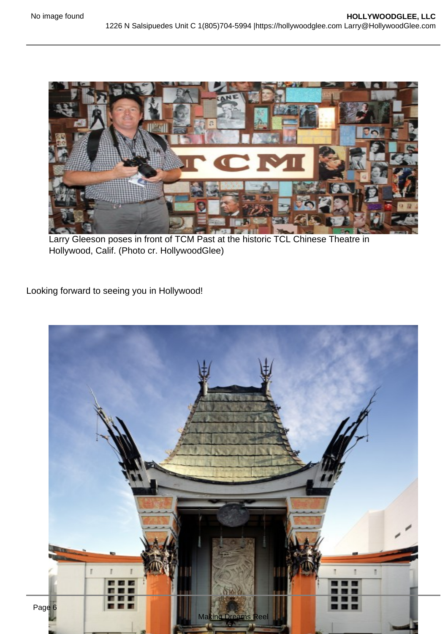Larry Gleeson poses in front of TCM Past at the historic TCL Chinese Theatre in Hollywood, Calif. (Photo cr. HollywoodGlee)

Looking forward to seeing you in Hollywood!